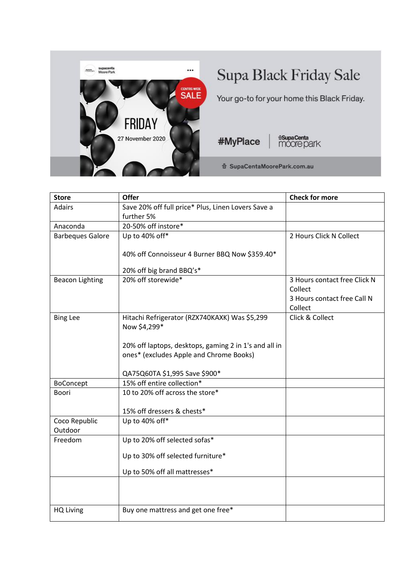

## Supa Black Friday Sale

Your go-to for your home this Black Friday.

#MyPlace

**fisupaCenta**<br>MOOTE park

奇 SupaCentaMoorePark.com.au

| <b>Adairs</b>            |                                                       |                              |
|--------------------------|-------------------------------------------------------|------------------------------|
|                          | Save 20% off full price* Plus, Linen Lovers Save a    |                              |
|                          | further 5%                                            |                              |
| Anaconda                 | 20-50% off instore*                                   |                              |
| <b>Barbeques Galore</b>  | Up to 40% off*                                        | 2 Hours Click N Collect      |
|                          | 40% off Connoisseur 4 Burner BBQ Now \$359.40*        |                              |
|                          |                                                       |                              |
|                          | 20% off big brand BBQ's*                              |                              |
| <b>Beacon Lighting</b>   | 20% off storewide*                                    | 3 Hours contact free Click N |
|                          |                                                       | Collect                      |
|                          |                                                       | 3 Hours contact free Call N  |
|                          |                                                       | Collect                      |
| <b>Bing Lee</b>          | Hitachi Refrigerator (RZX740KAXK) Was \$5,299         | Click & Collect              |
|                          | Now \$4,299*                                          |                              |
|                          | 20% off laptops, desktops, gaming 2 in 1's and all in |                              |
|                          | ones* (excludes Apple and Chrome Books)               |                              |
|                          |                                                       |                              |
|                          | QA75Q60TA \$1,995 Save \$900*                         |                              |
| BoConcept                | 15% off entire collection*                            |                              |
| Boori                    | 10 to 20% off across the store*                       |                              |
|                          |                                                       |                              |
|                          | 15% off dressers & chests*                            |                              |
| Coco Republic<br>Outdoor | Up to 40% off*                                        |                              |
| Freedom                  | Up to 20% off selected sofas*                         |                              |
|                          |                                                       |                              |
|                          | Up to 30% off selected furniture*                     |                              |
|                          | Up to 50% off all mattresses*                         |                              |
|                          |                                                       |                              |
|                          |                                                       |                              |
| <b>HQ Living</b>         | Buy one mattress and get one free*                    |                              |